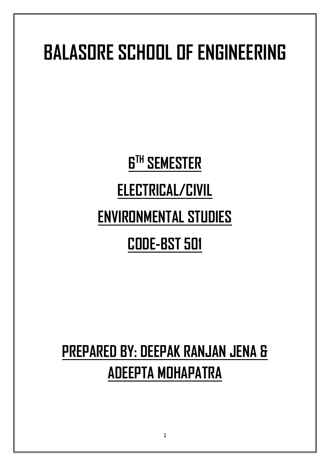# **BALASORE SCHOOL OF ENGINEERING**

# **6 TH SEMESTER**

# **ELECTRICAL/CIVIL**

# **ENVIRONMENTAL STUDIES**

# **CODE-BST 501**

# **PREPARED BY: DEEPAK RANJAN JENA & ADEEPTA MOHAPATRA**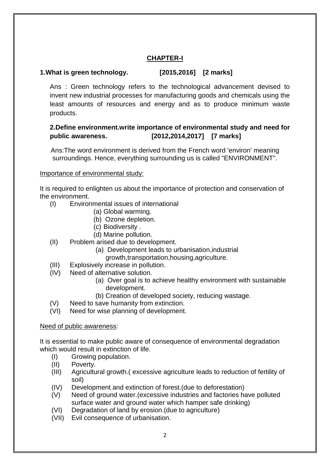# **CHAPTER-I**

# **1.What is green technology. [2015,2016] [2 marks]**

Ans : Green technology refers to the technological advancement devised to invent new industrial processes for manufacturing goods and chemicals using the least amounts of resources and energy and as to produce minimum waste products.

# **2.Define environment.write importance of environmental study and need for public awareness. [2012,2014,2017] [7 marks]**

Ans:The word environment is derived from the French word 'environ' meaning surroundings. Hence, everything surrounding us is called "ENVIRONMENT".

#### Importance of environmental study:

It is required to enlighten us about the importance of protection and conservation of the environment.

- (I) Environmental issues of international
	- (a) Global warming.
	- (b) Ozone depletion.
	- (c) Biodiversity .
	- (d) Marine pollution.
- (II) Problem arised due to development.
	- (a) Development leads to urbanisation,industrial growth,transportation,housing,agriculture.
	-
- (III) Explosively increase in pollution.
- (IV) Need of alternative solution.
	- (a) Over goal is to achieve healthy environment with sustainable development.
	- (b) Creation of developed society, reducing wastage.
- (V) Need to save humanity from extinction.
- (VI) Need for wise planning of development.

#### Need of public awareness:

It is essential to make public aware of consequence of environmental degradation which would result in extinction of life.

- (I) Growing population.
- (II) Poverty.
- (III) Agricultural growth.( excessive agriculture leads to reduction of fertility of soil)
- (IV) Development and extinction of forest.(due to deforestation)
- (V) Need of ground water.(excessive industries and factories have polluted surface water and ground water which hamper safe drinking)
- (VI) Degradation of land by erosion.(due to agriculture)
- (VII) Evil consequence of urbanisation.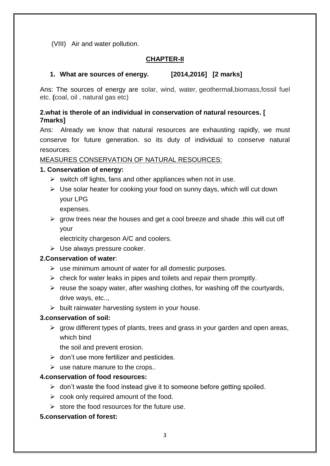(VIII) Air and water pollution.

#### **CHAPTER-II**

#### **1. What are sources of energy. [2014,2016] [2 marks]**

Ans: The sources of energy are solar, wind, water, geotherma**l**,biomass,fossil fuel etc. **(**coal, oil , natural gas etc)

#### **2.what is therole of an individual in conservation of natural resources. [ 7marks]**

Ans: Already we know that natural resources are exhausting rapidly, we must conserve for future generation. so its duty of individual to conserve natural resources.

#### MEASURES CONSERVATION OF NATURAL RESOURCES:

#### **1. Conservation of energy:**

- $\triangleright$  switch off lights, fans and other appliances when not in use.
- $\triangleright$  Use solar heater for cooking your food on sunny days, which will cut down your LPG

expenses.

 $\triangleright$  grow trees near the houses and get a cool breeze and shade .this will cut off your

electricity chargeson A/C and coolers.

 $\triangleright$  Use always pressure cooker.

#### **2.Conservation of water**:

- $\triangleright$  use minimum amount of water for all domestic purposes.
- $\triangleright$  check for water leaks in pipes and toilets and repair them promptly.
- $\triangleright$  reuse the soapy water, after washing clothes, for washing off the courtyards, drive ways, etc..,
- $\triangleright$  built rainwater harvesting system in your house.

#### **3.conservation of soil:**

 $\triangleright$  grow different types of plants, trees and grass in your garden and open areas, which bind

the soil and prevent erosion.

- $\triangleright$  don't use more fertilizer and pesticides.
- $\triangleright$  use nature manure to the crops..

#### **4.conservation of food resources:**

- $\triangleright$  don't waste the food instead give it to someone before getting spoiled.
- $\triangleright$  cook only required amount of the food.
- $\triangleright$  store the food resources for the future use.

#### **5.conservation of forest:**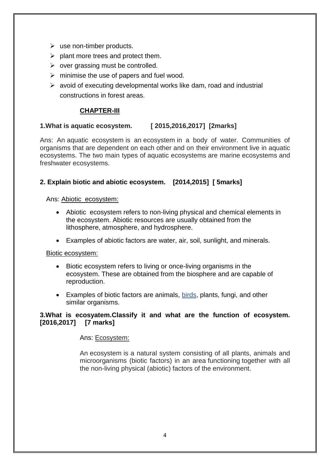- $\triangleright$  use non-timber products.
- $\triangleright$  plant more trees and protect them.
- $\triangleright$  over grassing must be controlled.
- $\triangleright$  minimise the use of papers and fuel wood.
- $\triangleright$  avoid of executing developmental works like dam, road and industrial constructions in forest areas.

#### **CHAPTER-III**

#### **1.What is aquatic ecosystem. [ 2015,2016,2017] [2marks]**

Ans: An aquatic ecosystem is an ecosystem in a body of water. Communities of organisms that are dependent on each other and on their environment live in aquatic ecosystems. The two main types of aquatic ecosystems are marine ecosystems and freshwater ecosystems.

#### **2. Explain biotic and abiotic ecosystem. [2014,2015] [ 5marks]**

#### Ans: Abiotic ecosystem:

- Abiotic ecosystem refers to non-living physical and chemical elements in the ecosystem. Abiotic resources are usually obtained from the lithosphere, atmosphere, and hydrosphere.
- Examples of abiotic factors are water, air, soil, sunlight, and minerals.

#### Biotic ecosystem:

- Biotic ecosystem refers to living or once-living organisms in the ecosystem. These are obtained from the biosphere and are capable of reproduction.
- Examples of biotic factors are animals, [birds,](http://www.diffen.com/difference/Crow_vs_Raven) plants, fungi, and other similar organisms.

#### **3.What is ecosyatem.Classify it and what are the function of ecosystem. [2016,2017] [7 marks]**

#### Ans: Ecosystem:

An ecosystem is a natural system consisting of all plants, animals and microorganisms (biotic factors) in an area functioning together with all the non-living physical (abiotic) factors of the environment.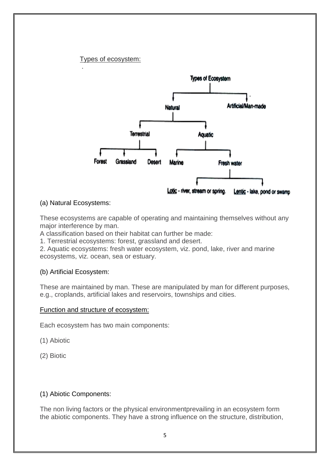#### Types of ecosystem:

.



#### (a) Natural Ecosystems:

These ecosystems are capable of operating and maintaining themselves without any major interference by man.

A classification based on their habitat can further be made:

1. Terrestrial ecosystems: forest, grassland and desert.

2. Aquatic ecosystems: fresh water ecosystem, viz. pond, lake, river and marine ecosystems, viz. ocean, sea or estuary.

#### (b) Artificial Ecosystem:

These are maintained by man. These are manipulated by man for different purposes, e.g., croplands, artificial lakes and reservoirs, townships and cities.

#### Function and structure of ecosystem:

Each ecosystem has two main components:

(1) Abiotic

(2) Biotic

#### (1) Abiotic Components:

The non living factors or the physical environmentprevailing in an ecosystem form the abiotic components. They have a strong influence on the structure, distribution,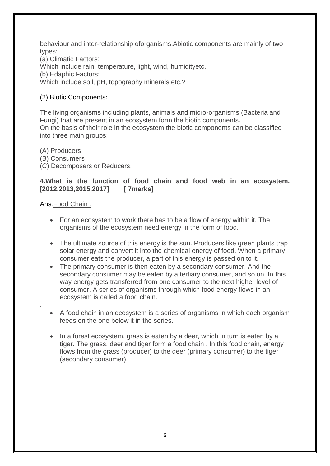behaviour and inter-relationship oforganisms.Abiotic components are mainly of two types:

(a) Climatic Factors: Which include rain, temperature, light, wind, humidityetc. (b) Edaphic Factors: Which include soil, pH, topography minerals etc.?

# (2) Biotic Components:

The living organisms including plants, animals and micro-organisms (Bacteria and Fungi) that are present in an ecosystem form the biotic components. On the basis of their role in the ecosystem the biotic components can be classified into three main groups:

(A) Producers

(B) Consumers

(C) Decomposers or Reducers.

#### **4.What is the function of food chain and food web in an ecosystem. [2012,2013,2015,2017] [ 7marks]**

#### Ans:Food Chain :

.

- For an ecosystem to work there has to be a flow of energy within it. The organisms of the ecosystem need energy in the form of food.
- The ultimate source of this energy is the sun. Producers like green plants trap solar energy and convert it into the chemical energy of food. When a primary consumer eats the producer, a part of this energy is passed on to it.
- The primary consumer is then eaten by a secondary consumer. And the secondary consumer may be eaten by a tertiary consumer, and so on. In this way energy gets transferred from one consumer to the next higher level of consumer. A series of organisms through which food energy flows in an ecosystem is called a food chain.
- A food chain in an ecosystem is a series of organisms in which each organism feeds on the one below it in the series.
- In a forest ecosystem, grass is eaten by a deer, which in turn is eaten by a tiger. The grass, deer and tiger form a food chain . In this food chain, energy flows from the grass (producer) to the deer (primary consumer) to the tiger (secondary consumer).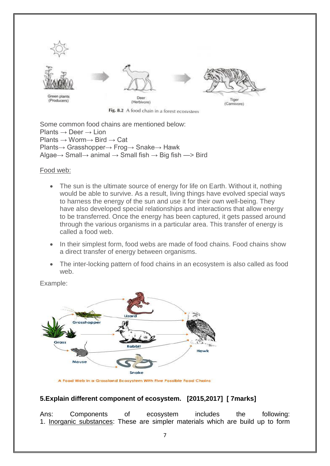

Fig. 8.2 A food chain in a forest ecosystem

Some common food chains are mentioned below: Plants  $\rightarrow$  Deer  $\rightarrow$  Lion Plants → Worm→ Bird → Cat Plants→ Grasshopper→ Frog→ Snake→ Hawk Algae $\rightarrow$  Small $\rightarrow$  animal  $\rightarrow$  Small fish  $\rightarrow$  Big fish  $\rightarrow$  Bird

#### Food web:

- The sun is the ultimate source of energy for life on Earth. Without it, nothing would be able to survive. As a result, living things have evolved special ways to harness the energy of the sun and use it for their own well-being. They have also developed special relationships and interactions that allow energy to be transferred. Once the energy has been captured, it gets passed around through the various organisms in a particular area. This transfer of energy is called a food web.
- In their simplest form, food webs are made of food chains. Food chains show a direct transfer of energy between organisms.
- The inter-locking pattern of food chains in an ecosystem is also called as food web.

Example:



A Food Web in a Grassland Ecosystem With Five Possible Food Chains

#### **5.Explain different component of ecosystem. [2015,2017] [ 7marks]**

Ans: Components of ecosystem includes the following: 1. Inorganic substances: These are simpler materials which are build up to form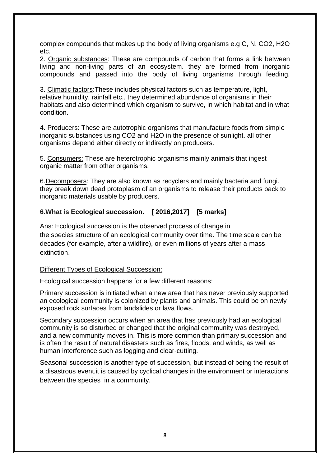complex compounds that makes up the body of living organisms e.g C, N, CO2, H2O etc.

2. Organic substances: These are compounds of carbon that forms a link between living and non-living parts of an ecosystem. they are formed from inorganic compounds and passed into the body of living organisms through feeding.

3. Climatic factors:These includes physical factors such as temperature, light, relative humidity, rainfall etc., they determined abundance of organisms in their habitats and also determined which organism to survive, in which habitat and in what condition.

4. Producers: These are autotrophic organisms that manufacture foods from simple inorganic substances using CO2 and H2O in the presence of sunlight. all other organisms depend either directly or indirectly on producers.

5. Consumers: These are heterotrophic organisms mainly animals that ingest organic matter from other organisms.

6.Decomposers: They are also known as recyclers and mainly bacteria and fungi. they break down dead protoplasm of an organisms to release their products back to inorganic materials usable by producers.

#### **6.What is Ecological succession. [ 2016,2017] [5 marks]**

Ans: Ecological succession is the observed process of change in the [species](https://en.wikipedia.org/wiki/Species) structure of an [ecological community](https://en.wikipedia.org/wiki/Community_(ecology)) over time. The time scale can be decades (for example, after a wildfire), or even millions of years after a [mass](https://en.wikipedia.org/wiki/Mass_extinction)  [extinction.](https://en.wikipedia.org/wiki/Mass_extinction)

#### Different Types of Ecological Succession:

Ecological succession happens for a few different reasons:

Primary succession is initiated when a new area that has never previously supported an ecological community is colonized by plants and animals. This could be on newly exposed rock surfaces from landslides or lava flows.

Secondary succession occurs when an area that has previously had an ecological community is so disturbed or changed that the original community was destroyed, and a new community moves in. This is more common than primary succession and is often the result of natural disasters such as fires, floods, and winds, as well as human interference such as logging and clear-cutting.

Seasonal succession is another type of succession, but instead of being the result of a disastrous event,it is caused by cyclical changes in the environment or interactions between the species in a community.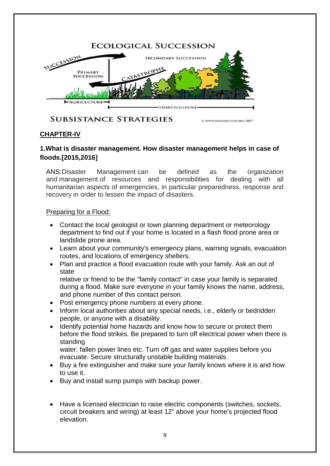

**SUBSISTANCE STRATEGIES** 

@ WWW.URBANSCOUT.ORG 2007

# **CHAPTER-IV**

### **1.What is disaster management. How disaster management helps in case of floods.[2015,2016]**

ANS:Disaster Management can be defined as the organization and management of resources and responsibilities for dealing with all humanitarian aspects of emergencies, in particular preparedness, response and recovery in order to lessen the impact of disasters.

### Preparing for a Flood:

- Contact the local geologist or town planning department or meteorology department to find out if your home is located in a flash flood prone area or landslide prone area.
- Learn about your community's emergency plans, warning signals, evacuation routes, and locations of emergency shelters.
- Plan and practice a flood evacuation route with your family. Ask an out of state

relative or friend to be the "family contact" in case your family is separated during a flood. Make sure everyone in your family knows the name, address, and phone number of this contact person.

- Post emergency phone numbers at every phone.
- Inform local authorities about any special needs, i.e., elderly or bedridden people, or anyone with a disability.
- Identify potential home hazards and know how to secure or protect them before the flood strikes. Be prepared to turn off electrical power when there is standing

water, fallen power lines etc. Turn off gas and water supplies before you evacuate. Secure structurally unstable building materials.

- Buy a fire extinguisher and make sure your family knows where it is and how to use it.
- Buy and install sump pumps with backup power.
- Have a licensed electrician to raise electric components (switches, sockets, circuit breakers and wiring) at least 12" above your home's projected flood elevation.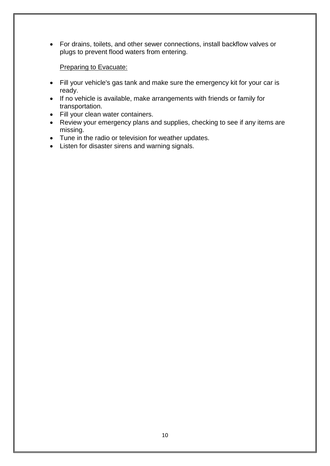For drains, toilets, and other sewer connections, install backflow valves or plugs to prevent flood waters from entering.

Preparing to Evacuate:

- Fill your vehicle's gas tank and make sure the emergency kit for your car is ready.
- If no vehicle is available, make arrangements with friends or family for transportation.
- Fill your clean water containers.
- Review your emergency plans and supplies, checking to see if any items are missing.
- Tune in the radio or television for weather updates.
- Listen for disaster sirens and warning signals.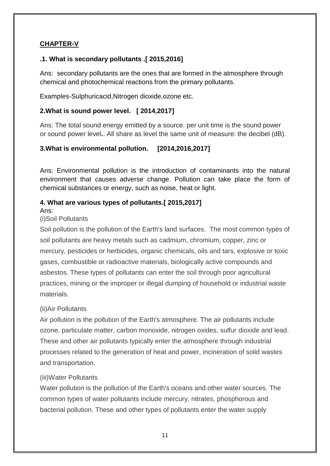# **CHAPTER-V**

# **.1. What is secondary pollutants .[ 2015,2016]**

Ans: secondary pollutants are the ones that are formed in the atmosphere through chemical and photochemical reactions from the primary pollutants.

Examples-Sulphuricacid,Nitrogen dioxide,ozone etc.

#### **2.What is sound power level. [ 2014,2017]**

Ans: The total sound energy emitted by a source. per unit time is the sound power or sound power level**.**. All share as level the same unit of measure: the decibel (dB).

### **3.What is environmental pollution. [2014,2016,2017]**

Ans: Environmental pollution is the introduction of contaminants into the natural environment that causes adverse change. Pollution can take place the form of chemical substances or energy, such as noise, heat or light.

### **4. What are various types of pollutants.[ 2015,2017]**

#### Ans:

#### (i)Soil Pollutants

Soil pollution is the pollution of the Earth's land surfaces. The most common types of soil pollutants are heavy metals such as cadmium, chromium, copper, zinc or mercury, pesticides or herbicides, organic chemicals, oils and tars, explosive or toxic gases, combustible or radioactive materials, biologically active compounds and asbestos. These types of pollutants can enter the soil through poor agricultural practices, mining or the improper or illegal dumping of household or industrial waste materials.

#### (ii)Air Pollutants

Air pollution is the pollution of the Earth's atmosphere. The air pollutants include ozone, particulate matter, carbon monoxide, nitrogen oxides, sulfur dioxide and lead. These and other air pollutants typically enter the atmosphere through industrial processes related to the generation of heat and power, incineration of solid wastes and transportation.

#### (iii)Water Pollutants

Water pollution is the pollution of the Earth's oceans and other water sources. The common types of water pollutants include mercury, nitrates, phosphorous and bacterial pollution. These and other types of pollutants enter the water supply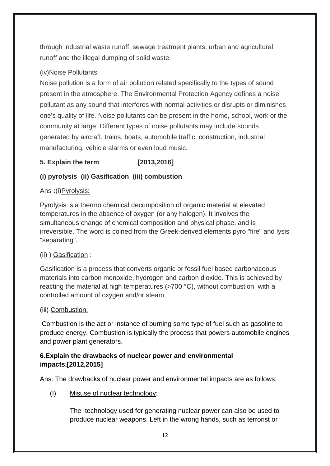through industrial waste runoff, sewage treatment plants, urban and agricultural runoff and the illegal dumping of solid waste.

# (iv)Noise Pollutants

Noise pollution is a form of air pollution related specifically to the types of sound present in the atmosphere. The Environmental Protection Agency defines a noise pollutant as any sound that interferes with normal activities or disrupts or diminishes one's quality of life. Noise pollutants can be present in the home, school, work or the community at large. Different types of noise pollutants may include sounds generated by aircraft, trains, boats, automobile traffic, construction, industrial manufacturing, vehicle alarms or even loud music.

# **5. Explain the term [2013,2016]**

# **(i) pyrolysis (ii) Gasification (iii) combustion**

# Ans **:**(i)Pyrolysis:

Pyrolysis is a thermo chemical decomposition of organic material at elevated temperatures in the absence of oxygen (or any halogen). It involves the simultaneous change of chemical composition and physical phase, and is irreversible. The word is coined from the Greek-derived elements pyro "fire" and lysis "separating".

# (ii) ) Gasification :

Gasification is a process that converts organic or fossil fuel based carbonaceous materials into carbon monoxide, hydrogen and carbon dioxide. This is achieved by reacting the material at high temperatures (>700 °C), without combustion, with a controlled amount of oxygen and/or steam.

#### (iii) Combustion:

Combustion is the act or instance of burning some type of fuel such as gasoline to produce energy. Combustion is typically the process that powers automobile engines and power plant generators.

# **6.Explain the drawbacks of nuclear power and environmental impacts.[2012,2015]**

Ans: The drawbacks of nuclear power and environmental impacts are as follows:

(I) Misuse of nuclear technology:

The technology used for generating nuclear power can also be used to produce nuclear weapons. Left in the wrong hands, such as terrorist or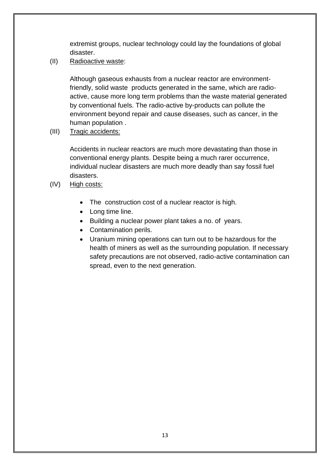extremist groups, nuclear technology could lay the foundations of global disaster.

(II) Radioactive waste:

Although gaseous exhausts from a nuclear reactor are environmentfriendly, solid waste products generated in the same, which are radioactive, cause more long term problems than the waste material generated by conventional fuels. The radio-active by-products can pollute the environment beyond repair and cause diseases, such as cancer, in the human population .

(III) Tragic accidents:

Accidents in nuclear reactors are much more devastating than those in conventional energy plants. Despite being a much rarer occurrence, individual nuclear disasters are much more deadly than say fossil fuel disasters.

- (IV) High costs:
	- The construction cost of a nuclear reactor is high.
	- Long time line.
	- Building a nuclear power plant takes a no. of years.
	- Contamination perils.
	- Uranium mining operations can turn out to be hazardous for the health of miners as well as the surrounding population. If necessary safety precautions are not observed, radio-active contamination can spread, even to the next generation.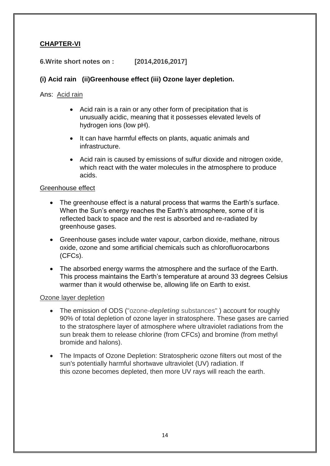# **CHAPTER-VI**

#### **6.Write short notes on : [2014,2016,2017]**

### **(i) Acid rain (ii)Greenhouse effect (iii) Ozone layer depletion.**

Ans: Acid rain

- Acid [rain](https://en.wikipedia.org/wiki/Rain) is a rain or any other form of [precipitation](https://en.wikipedia.org/wiki/Precipitation_(meteorology)) that is unusually [acidic,](https://en.wikipedia.org/wiki/Acid) meaning that it possesses elevated levels of hydrogen ions (low [pH\)](https://en.wikipedia.org/wiki/PH).
- It can have harmful effects on plants, aquatic animals and infrastructure.
- Acid rain is caused by emissions of [sulfur dioxide](https://en.wikipedia.org/wiki/Sulfur_dioxide) and [nitrogen oxide,](https://en.wikipedia.org/wiki/Nitrogen_oxide) which react with the [water molecules](https://en.wikipedia.org/wiki/Properties_of_water) in the [atmosphere](https://en.wikipedia.org/wiki/Atmosphere) to produce acids.

#### Greenhouse effect

- The greenhouse effect is a natural process that warms the Earth's surface. When the Sun's energy reaches the Earth's atmosphere, some of it is reflected back to space and the rest is absorbed and re-radiated by greenhouse gases.
- Greenhouse gases include water vapour, carbon dioxide, methane, nitrous oxide, ozone and some artificial chemicals such as chlorofluorocarbons (CFCs).
- The absorbed energy warms the atmosphere and the surface of the Earth. This process maintains the Earth's temperature at around 33 degrees Celsius warmer than it would otherwise be, allowing life on Earth to exist.

#### Ozone layer depletion

- The emission of ODS ("ozone-*depleting* substances" ) account for roughly 90% of total depletion of ozone layer in stratosphere. These gases are carried to the stratosphere layer of atmosphere where ultraviolet radiations from the sun break them to release chlorine (from CFCs) and bromine (from methyl bromide and halons).
- The Impacts of Ozone Depletion: Stratospheric ozone filters out most of the sun's potentially harmful shortwave ultraviolet (UV) radiation. If this ozone becomes depleted, then more UV rays will reach the earth.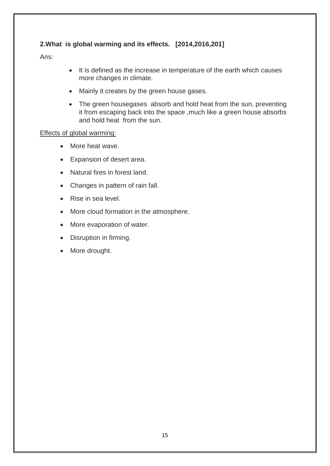# **2.What is global warming and its effects. [2014,2016,201]**

Ans:

- It is defined as the increase in temperature of the earth which causes more changes in climate.
- Mainly it creates by the green house gases.
- The green housegases absorb and hold heat from the sun, preventing it from escaping back into the space ,much like a green house absorbs and hold heat from the sun.

#### Effects of global warming:

- More heat wave.
- Expansion of desert area.
- Natural fires in forest land.
- Changes in pattern of rain fall.
- Rise in sea level.
- More cloud formation in the atmosphere.
- More evaporation of water.
- Disruption in firming.
- More drought.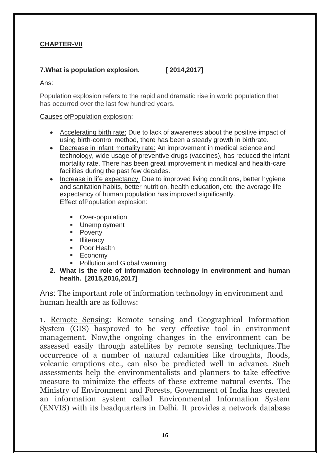# **CHAPTER-VII**

# **7.What is population explosion. [ 2014,2017]**

Ans:

Population explosion refers to the rapid and dramatic rise in world population that has occurred over the last few hundred years.

#### Causes ofPopulation explosion:

- Accelerating birth rate: Due to lack of awareness about the positive impact of using birth-control method, there has been a steady growth in birthrate.
- Decrease in infant mortality rate: An improvement in medical science and technology, wide usage of preventive drugs (vaccines), has reduced the infant mortality rate. There has been great improvement in medical and health-care facilities during the past few decades.
- Increase in life expectancy: Due to improved living conditions, better hygiene and sanitation habits, better nutrition, health education, etc. the average life expectancy of human population has improved significantly. Effect ofPopulation explosion:
	- **•** Over-population
	- **Unemployment**
	- **•** Poverty
	- **Illiteracy**
	- **Poor Health**
	- **Economy**
	- Pollution and Global warming
- **2. What is the role of information technology in environment and human health. [2015,2016,2017]**

Ans: The important role of information technology in environment and human health are as follows:

1. Remote Sensing: Remote sensing and Geographical Information System (GIS) hasproved to be very effective tool in environment management. Now,the ongoing changes in the environment can be assessed easily through satellites by remote sensing techniques.The occurrence of a number of natural calamities like droughts, floods, volcanic eruptions etc., can also be predicted well in advance. Such assessments help the environmentalists and planners to take effective measure to minimize the effects of these extreme natural events. The Ministry of Environment and Forests, Government of India has created an information system called Environmental Information System (ENVIS) with its headquarters in Delhi. It provides a network database